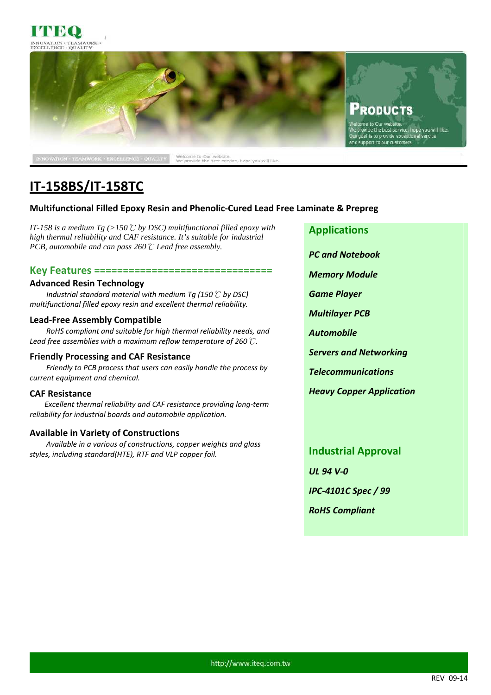



# **IT-158BS/IT-158TC**

# **Multifunctional Filled Epoxy Resin and Phenolic-Cured Lead Free Laminate & Prepreg**

*IT-158 is a medium Tg (>150*℃ *by DSC) multifunctional filled epoxy with high thermal reliability and CAF resistance. It's suitable for industrial PCB, automobile and can pass 260*℃ *Lead free assembly.* 

## **Key Features ===============================**

### **Advanced Resin Technology**

 *Industrial standard material with medium Tg (150*℃ *by DSC) multifunctional filled epoxy resin and excellent thermal reliability.* 

## **Lead-Free Assembly Compatible**

*RoHS compliant and suitable for high thermal reliability needs, and Lead free assemblies with a maximum reflow temperature of 260*℃*.* 

### **Friendly Processing and CAF Resistance**

*Friendly to PCB process that users can easily handle the process by current equipment and chemical.* 

# **CAF Resistance**

*Excellent thermal reliability and CAF resistance providing long-term reliability for industrial boards and automobile application.*

# **Available in Variety of Constructions**

*Available in a various of constructions, copper weights and glass styles, including standard(HTE), RTF and VLP copper foil.* 

**Applications** 

*PC and Notebook* 

*Memory Module* 

*Game Player* 

*Multilayer PCB* 

*Automobile* 

*Servers and Networking* 

*Telecommunications* 

*Heavy Copper Application* 

**Industrial Approval**  *UL 94 V-0 IPC-4101C Spec / 99 RoHS Compliant*